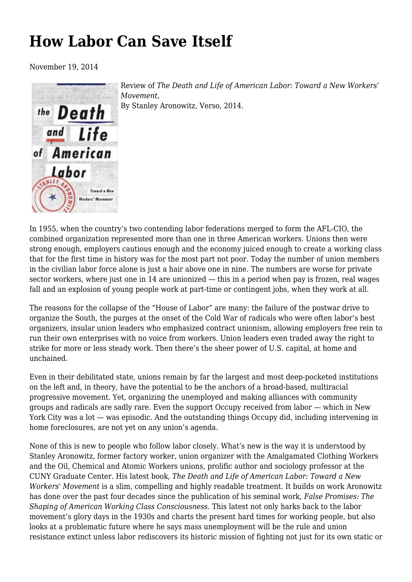## **[How Labor Can Save Itself](https://newpol.org/how-labor-can-save-itself/)**

November 19, 2014



Review of *The Death and Life of American Labor: Toward a New Workers' Movement*, By Stanley Aronowitz, Verso, 2014.

In 1955, when the country's two contending labor federations merged to form the AFL-CIO, the combined organization represented more than one in three American workers. Unions then were strong enough, employers cautious enough and the economy juiced enough to create a working class that for the first time in history was for the most part not poor. Today the number of union members in the civilian labor force alone is just a hair above one in nine. The numbers are worse for private sector workers, where just one in 14 are unionized — this in a period when pay is frozen, real wages fall and an explosion of young people work at part-time or contingent jobs, when they work at all.

The reasons for the collapse of the "House of Labor" are many: the failure of the postwar drive to organize the South, the purges at the onset of the Cold War of radicals who were often labor's best organizers, insular union leaders who emphasized contract unionism, allowing employers free rein to run their own enterprises with no voice from workers. Union leaders even traded away the right to strike for more or less steady work. Then there's the sheer power of U.S. capital, at home and unchained.

Even in their debilitated state, unions remain by far the largest and most deep-pocketed institutions on the left and, in theory, have the potential to be the anchors of a broad-based, multiracial progressive movement. Yet, organizing the unemployed and making alliances with community groups and radicals are sadly rare. Even the support Occupy received from labor — which in New York City was a lot — was episodic. And the outstanding things Occupy did, including intervening in home foreclosures, are not yet on any union's agenda.

None of this is new to people who follow labor closely. What's new is the way it is understood by Stanley Aronowitz, former factory worker, union organizer with the Amalgamated Clothing Workers and the Oil, Chemical and Atomic Workers unions, prolific author and sociology professor at the CUNY Graduate Center. His latest book, *The Death and Life of American Labor: Toward a New Workers' Movement* is a slim, compelling and highly readable treatment. It builds on work Aronowitz has done over the past four decades since the publication of his seminal work, *False Promises: The Shaping of American Working Class Consciousness*. This latest not only harks back to the labor movement's glory days in the 1930s and charts the present hard times for working people, but also looks at a problematic future where he says mass unemployment will be the rule and union resistance extinct unless labor rediscovers its historic mission of fighting not just for its own static or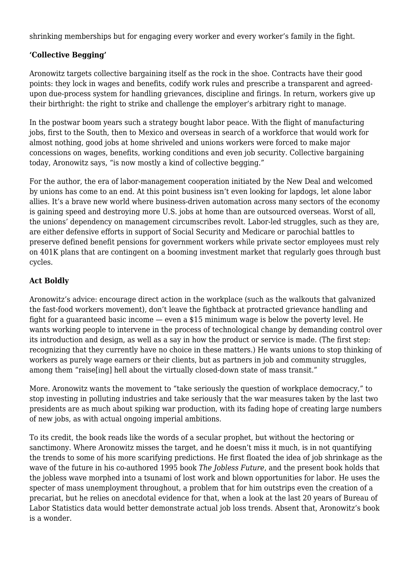shrinking memberships but for engaging every worker and every worker's family in the fight.

## **'Collective Begging'**

Aronowitz targets collective bargaining itself as the rock in the shoe. Contracts have their good points: they lock in wages and benefits, codify work rules and prescribe a transparent and agreedupon due-process system for handling grievances, discipline and firings. In return, workers give up their birthright: the right to strike and challenge the employer's arbitrary right to manage.

In the postwar boom years such a strategy bought labor peace. With the flight of manufacturing jobs, first to the South, then to Mexico and overseas in search of a workforce that would work for almost nothing, good jobs at home shriveled and unions workers were forced to make major concessions on wages, benefits, working conditions and even job security. Collective bargaining today, Aronowitz says, "is now mostly a kind of collective begging."

For the author, the era of labor-management cooperation initiated by the New Deal and welcomed by unions has come to an end. At this point business isn't even looking for lapdogs, let alone labor allies. It's a brave new world where business-driven automation across many sectors of the economy is gaining speed and destroying more U.S. jobs at home than are outsourced overseas. Worst of all, the unions' dependency on management circumscribes revolt. Labor-led struggles, such as they are, are either defensive efforts in support of Social Security and Medicare or parochial battles to preserve defined benefit pensions for government workers while private sector employees must rely on 401K plans that are contingent on a booming investment market that regularly goes through bust cycles.

## **Act Boldly**

Aronowitz's advice: encourage direct action in the workplace (such as the walkouts that galvanized the fast-food workers movement), don't leave the fightback at protracted grievance handling and fight for a guaranteed basic income — even a \$15 minimum wage is below the poverty level. He wants working people to intervene in the process of technological change by demanding control over its introduction and design, as well as a say in how the product or service is made. (The first step: recognizing that they currently have no choice in these matters.) He wants unions to stop thinking of workers as purely wage earners or their clients, but as partners in job and community struggles, among them "raise[ing] hell about the virtually closed-down state of mass transit."

More. Aronowitz wants the movement to "take seriously the question of workplace democracy," to stop investing in polluting industries and take seriously that the war measures taken by the last two presidents are as much about spiking war production, with its fading hope of creating large numbers of new jobs, as with actual ongoing imperial ambitions.

To its credit, the book reads like the words of a secular prophet, but without the hectoring or sanctimony. Where Aronowitz misses the target, and he doesn't miss it much, is in not quantifying the trends to some of his more scarifying predictions. He first floated the idea of job shrinkage as the wave of the future in his co-authored 1995 book *The Jobless Future*, and the present book holds that the jobless wave morphed into a tsunami of lost work and blown opportunities for labor. He uses the specter of mass unemployment throughout, a problem that for him outstrips even the creation of a precariat, but he relies on anecdotal evidence for that, when a look at the last 20 years of Bureau of Labor Statistics data would better demonstrate actual job loss trends. Absent that, Aronowitz's book is a wonder.